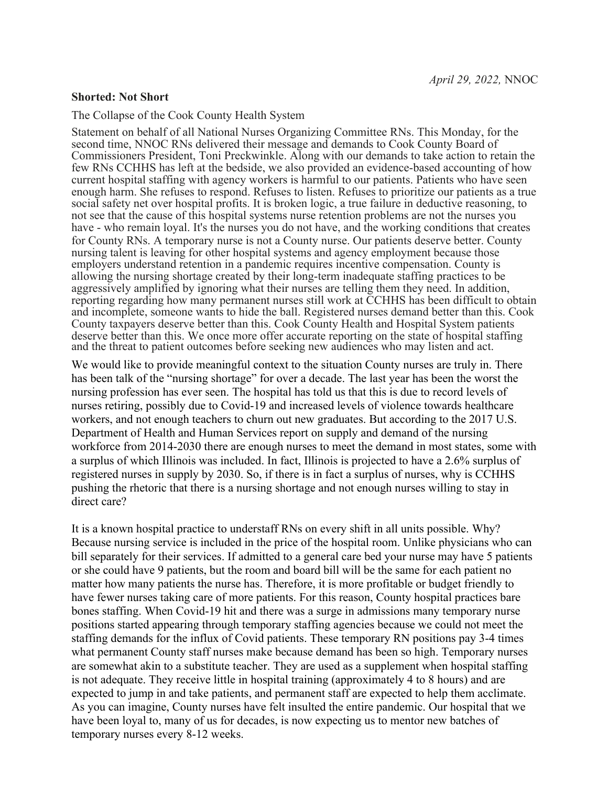## **Shorted: Not Short**

The Collapse of the Cook County Health System

Statement on behalf of all National Nurses Organizing Committee RNs. This Monday, for the second time, NNOC RNs delivered their message and demands to Cook County Board of Commissioners President, Toni Preckwinkle. Along with our demands to take action to retain the few RNs CCHHS has left at the bedside, we also provided an evidence-based accounting of how current hospital staffing with agency workers is harmful to our patients. Patients who have seen enough harm. She refuses to respond. Refuses to listen. Refuses to prioritize our patients as a true social safety net over hospital profits. It is broken logic, a true failure in deductive reasoning, to not see that the cause of this hospital systems nurse retention problems are not the nurses you have - who remain loyal. It's the nurses you do not have, and the working conditions that creates for County RNs. A temporary nurse is not a County nurse. Our patients deserve better. County nursing talent is leaving for other hospital systems and agency employment because those employers understand retention in a pandemic requires incentive compensation. County is allowing the nursing shortage created by their long-term inadequate staffing practices to be aggressively amplified by ignoring what their nurses are telling them they need. In addition, reporting regarding how many permanent nurses still work at CCHHS has been difficult to obtain and incomplete, someone wants to hide the ball. Registered nurses demand better than this. Cook County taxpayers deserve better than this. Cook County Health and Hospital System patients deserve better than this. We once more offer accurate reporting on the state of hospital staffing and the threat to patient outcomes before seeking new audiences who may listen and act.

We would like to provide meaningful context to the situation County nurses are truly in. There has been talk of the "nursing shortage" for over a decade. The last year has been the worst the nursing profession has ever seen. The hospital has told us that this is due to record levels of nurses retiring, possibly due to Covid-19 and increased levels of violence towards healthcare workers, and not enough teachers to churn out new graduates. But according to the 2017 U.S. Department of Health and Human Services report on supply and demand of the nursing workforce from 2014-2030 there are enough nurses to meet the demand in most states, some with a surplus of which Illinois was included. In fact, Illinois is projected to have a 2.6% surplus of registered nurses in supply by 2030. So, if there is in fact a surplus of nurses, why is CCHHS pushing the rhetoric that there is a nursing shortage and not enough nurses willing to stay in direct care?

It is a known hospital practice to understaff RNs on every shift in all units possible. Why? Because nursing service is included in the price of the hospital room. Unlike physicians who can bill separately for their services. If admitted to a general care bed your nurse may have 5 patients or she could have 9 patients, but the room and board bill will be the same for each patient no matter how many patients the nurse has. Therefore, it is more profitable or budget friendly to have fewer nurses taking care of more patients. For this reason, County hospital practices bare bones staffing. When Covid-19 hit and there was a surge in admissions many temporary nurse positions started appearing through temporary staffing agencies because we could not meet the staffing demands for the influx of Covid patients. These temporary RN positions pay 3-4 times what permanent County staff nurses make because demand has been so high. Temporary nurses are somewhat akin to a substitute teacher. They are used as a supplement when hospital staffing is not adequate. They receive little in hospital training (approximately 4 to 8 hours) and are expected to jump in and take patients, and permanent staff are expected to help them acclimate. As you can imagine, County nurses have felt insulted the entire pandemic. Our hospital that we have been loyal to, many of us for decades, is now expecting us to mentor new batches of temporary nurses every 8-12 weeks.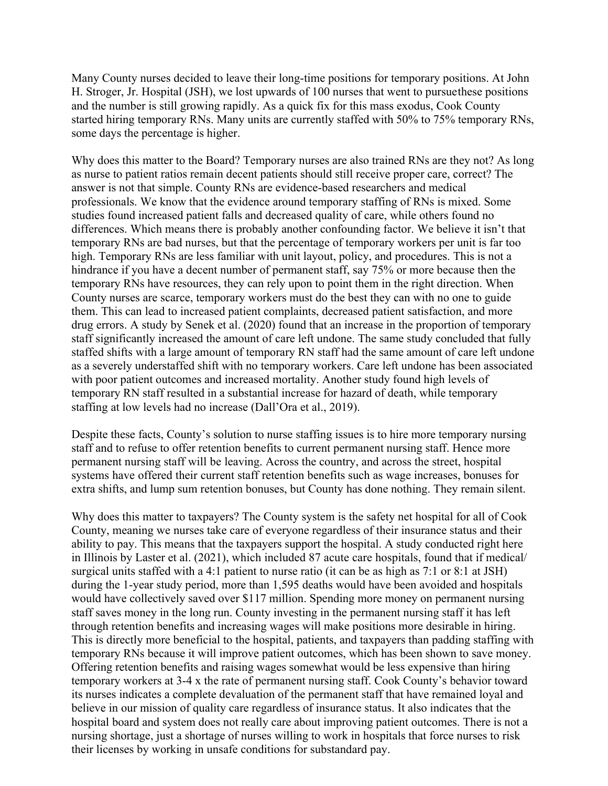Many County nurses decided to leave their long-time positions for temporary positions. At John H. Stroger, Jr. Hospital (JSH), we lost upwards of 100 nurses that went to pursue these positions and the number is still growing rapidly. As a quick fix for this mass exodus, Cook County started hiring temporary RNs. Many units are currently staffed with 50% to 75% temporary RNs, some days the percentage is higher.

Why does this matter to the Board? Temporary nurses are also trained RNs are they not? As long as nurse to patient ratios remain decent patients should still receive proper care, correct? The answer is not that simple. County RNs are evidence-based researchers and medical professionals. We know that the evidence around temporary staffing of RNs is mixed. Some studies found increased patient falls and decreased quality of care, while others found no differences. Which means there is probably another confounding factor. We believe it isn't that temporary RNs are bad nurses, but that the percentage of temporary workers per unit is far too high. Temporary RNs are less familiar with unit layout, policy, and procedures. This is not a hindrance if you have a decent number of permanent staff, say 75% or more because then the temporary RNs have resources, they can rely upon to point them in the right direction. When County nurses are scarce, temporary workers must do the best they can with no one to guide them. This can lead to increased patient complaints, decreased patient satisfaction, and more drug errors. A study by Senek et al. (2020) found that an increase in the proportion of temporary staff significantly increased the amount of care left undone. The same study concluded that fully staffed shifts with a large amount of temporary RN staff had the same amount of care left undone as a severely understaffed shift with no temporary workers. Care left undone has been associated with poor patient outcomes and increased mortality. Another study found high levels of temporary RN staff resulted in a substantial increase for hazard of death, while temporary staffing at low levels had no increase (Dall'Ora et al., 2019).

Despite these facts, County's solution to nurse staffing issues is to hire more temporary nursing staff and to refuse to offer retention benefits to current permanent nursing staff. Hence more permanent nursing staff will be leaving. Across the country, and across the street, hospital systems have offered their current staff retention benefits such as wage increases, bonuses for extra shifts, and lump sum retention bonuses, but County has done nothing. They remain silent.

Why does this matter to taxpayers? The County system is the safety net hospital for all of Cook County, meaning we nurses take care of everyone regardless of their insurance status and their ability to pay. This means that the taxpayers support the hospital. A study conducted right here in Illinois by Laster et al. (2021), which included 87 acute care hospitals, found that if medical/ surgical units staffed with a 4:1 patient to nurse ratio (it can be as high as 7:1 or 8:1 at JSH) during the 1-year study period, more than 1,595 deaths would have been avoided and hospitals would have collectively saved over \$117 million. Spending more money on permanent nursing staff saves money in the long run. County investing in the permanent nursing staff it has left through retention benefits and increasing wages will make positions more desirable in hiring. This is directly more beneficial to the hospital, patients, and taxpayers than padding staffing with temporary RNs because it will improve patient outcomes, which has been shown to save money. Offering retention benefits and raising wages somewhat would be less expensive than hiring temporary workers at 3-4 x the rate of permanent nursing staff. Cook County's behavior toward its nurses indicates a complete devaluation of the permanent staff that have remained loyal and believe in our mission of quality care regardless of insurance status. It also indicates that the hospital board and system does not really care about improving patient outcomes. There is not a nursing shortage, just a shortage of nurses willing to work in hospitals that force nurses to risk their licenses by working in unsafe conditions for substandard pay.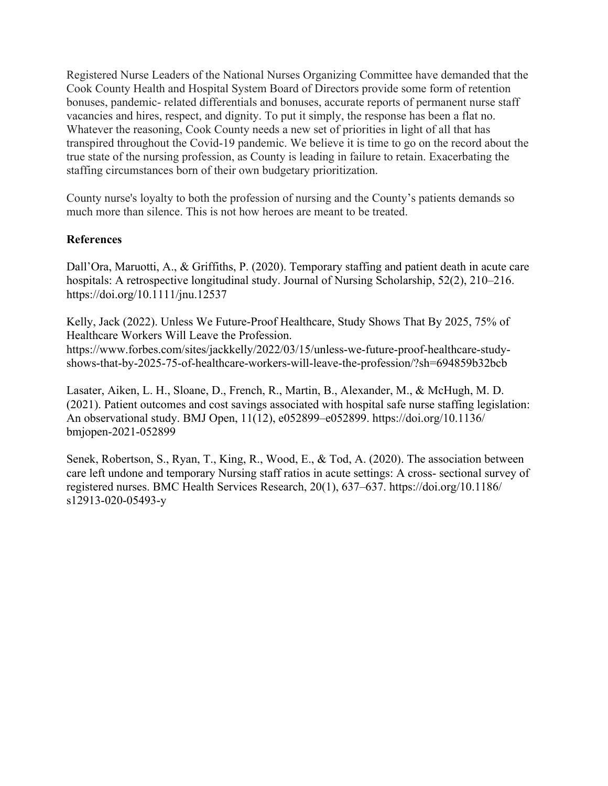Registered Nurse Leaders of the National Nurses Organizing Committee have demanded that the Cook County Health and Hospital System Board of Directors provide some form of retention bonuses, pandemic- related differentials and bonuses, accurate reports of permanent nurse staff vacancies and hires, respect, and dignity. To put it simply, the response has been a flat no. Whatever the reasoning, Cook County needs a new set of priorities in light of all that has transpired throughout the Covid-19 pandemic. We believe it is time to go on the record about the true state of the nursing profession, as County is leading in failure to retain. Exacerbating the staffing circumstances born of their own budgetary prioritization.

County nurse's loyalty to both the profession of nursing and the County's patients demands so much more than silence. This is not how heroes are meant to be treated.

## **References**

Dall'Ora, Maruotti, A., & Griffiths, P. (2020). Temporary staffing and patient death in acute care hospitals: A retrospective longitudinal study. Journal of Nursing Scholarship, 52(2), 210–216. https://doi.org/10.1111/jnu.12537

Kelly, Jack (2022). Unless We Future-Proof Healthcare, Study Shows That By 2025, 75% of Healthcare Workers Will Leave the Profession.

https://www.forbes.com/sites/jackkelly/2022/03/15/unless-we-future-proof-healthcare-studyshows-that-by-2025-75-of-healthcare-workers-will-leave-the-profession/?sh=694859b32bcb

Lasater, Aiken, L. H., Sloane, D., French, R., Martin, B., Alexander, M., & McHugh, M. D. (2021). Patient outcomes and cost savings associated with hospital safe nurse staffing legislation: An observational study. BMJ Open, 11(12), e052899–e052899. https://doi.org/10.1136/ bmjopen-2021-052899

Senek, Robertson, S., Ryan, T., King, R., Wood, E., & Tod, A. (2020). The association between care left undone and temporary Nursing staff ratios in acute settings: A cross- sectional survey of registered nurses. BMC Health Services Research, 20(1), 637–637. https://doi.org/10.1186/ s12913-020-05493-y